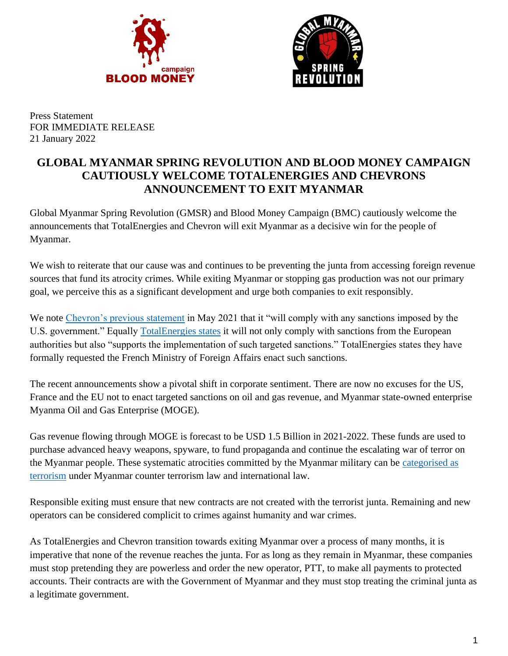



Press Statement FOR IMMEDIATE RELEASE 21 January 2022

## **GLOBAL MYANMAR SPRING REVOLUTION AND BLOOD MONEY CAMPAIGN CAUTIOUSLY WELCOME TOTALENERGIES AND CHEVRONS ANNOUNCEMENT TO EXIT MYANMAR**

Global Myanmar Spring Revolution (GMSR) and Blood Money Campaign (BMC) cautiously welcome the announcements that TotalEnergies and Chevron will exit Myanmar as a decisive win for the people of Myanmar.

We wish to reiterate that our cause was and continues to be preventing the junta from accessing foreign revenue sources that fund its atrocity crimes. While exiting Myanmar or stopping gas production was not our primary goal, we perceive this as a significant development and urge both companies to exit responsibly.

We note [Chevron's previous statement](https://www.chevron.com/stories/chevrons-view-on-myanmar) in May 2021 that it "will comply with any sanctions imposed by the U.S. government." Equally [TotalEnergies states](https://totalenergies.com/media/news/press-releases/totalenergies-withdraws-myanmar) it will not only comply with sanctions from the European authorities but also "supports the implementation of such targeted sanctions." TotalEnergies states they have formally requested the French Ministry of Foreign Affairs enact such sanctions.

The recent announcements show a pivotal shift in corporate sentiment. There are now no excuses for the US, France and the EU not to enact targeted sanctions on oil and gas revenue, and Myanmar state-owned enterprise Myanma Oil and Gas Enterprise (MOGE).

Gas revenue flowing through MOGE is forecast to be USD 1.5 Billion in 2021-2022. These funds are used to purchase advanced heavy weapons, spyware, to fund propaganda and continue the escalating war of terror on the Myanmar people. These systematic atrocities committed by the Myanmar military can be [categorised as](https://specialadvisorycouncil.org/2021/12/sac-m-the-illegal-junta-should-be-designated-a-terrorist-organisation/)  [terrorism](https://specialadvisorycouncil.org/2021/12/sac-m-the-illegal-junta-should-be-designated-a-terrorist-organisation/) under Myanmar counter terrorism law and international law.

Responsible exiting must ensure that new contracts are not created with the terrorist junta. Remaining and new operators can be considered complicit to crimes against humanity and war crimes.

As TotalEnergies and Chevron transition towards exiting Myanmar over a process of many months, it is imperative that none of the revenue reaches the junta. For as long as they remain in Myanmar, these companies must stop pretending they are powerless and order the new operator, PTT, to make all payments to protected accounts. Their contracts are with the Government of Myanmar and they must stop treating the criminal junta as a legitimate government.